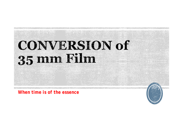## **CONVERSION of** 35 mm Film

*When time is of the essence*

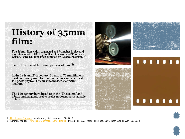## **History of 35mm** film:

The 35 mm film width, originated as 1 3**⁄** <sup>8</sup> inches in size and was introduced in 1892 by William Dickson and Thomas Edison, using 120 film stock supplied by George Eastman.(1)

35mm film offered 16 frames per foot of film.(2)

In the 19th and 20th century, 13 mm to 75 mm film was most commonly used for motion pictures and chemical still photography. This was the most cost effective medium.

The 21st century introduced us to the "Digital era" and 35mm and magnetic reel to reel is no longer a sustainable option







1. *["Half Frame Cameras".](http://www.subclub.org/shop/halframe.htm) subclub.org. Retrieved April 18, 2018.*

2. Hummel, Rob (ed). *[American Cinematographer Manual](https://en.wikipedia.org/wiki/American_Cinematographer_Manual)*, 8th edition. ASC Press: Hollywood, 2001. Retrieved on April 20, 2018

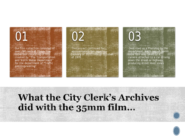

## **What the City Clerk's Archives** did with the 35mm film...